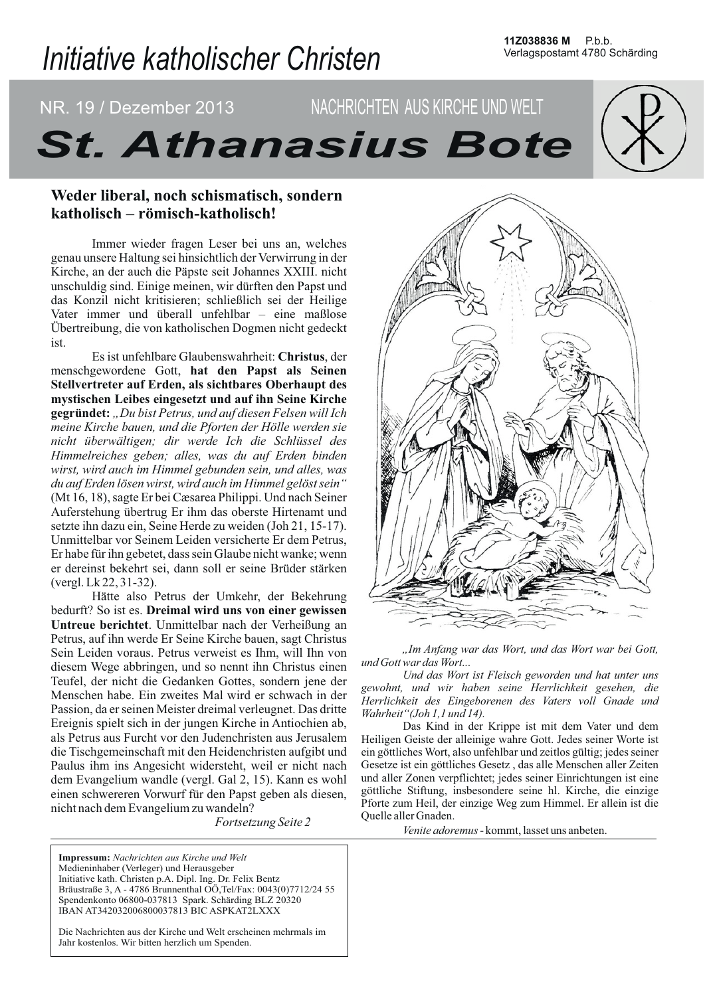# Initiative katholischer Christen

# NR. 19 / Dezember 2013 NACHRICHTEN AUS KIRCHE UND WELT **St. Athanasius Bote**

# Weder liberal, noch schismatisch, sondern katholisch – römisch-katholisch!

Immer wieder fragen Leser bei uns an, welches genau unsere Haltung sei hinsichtlich der Verwirrung in der Kirche, an der auch die Päpste seit Johannes XXIII. nicht unschuldig sind. Einige meinen, wir dürften den Papst und das Konzil nicht kritisieren; schließlich sei der Heilige Vater immer und überall unfehlbar – eine maßlose Übertreibung, die von katholischen Dogmen nicht gedeckt ist.

Es ist unfehlbare Glaubenswahrheit: Christus, der menschgewordene Gott, hat den Papst als Seinen Stellvertreter auf Erden, als sichtbares Oberhaupt des mystischen Leibes eingesetzt und auf ihn Seine Kirche gegründet: "Du bist Petrus, und auf diesen Felsen will Ich meine Kirche bauen, und die Pforten der Hölle werden sie nicht überwältigen; dir werde Ich die Schlüssel des Himmelreiches geben; alles, was du auf Erden binden wirst, wird auch im Himmel gebunden sein, und alles, was du auf Erden lösen wirst, wird auch im Himmel gelöst sein" (Mt 16, 18), sagte Er bei Cæsarea Philippi. Und nach Seiner Auferstehung übertrug Er ihm das oberste Hirtenamt und setzte ihn dazu ein, Seine Herde zu weiden (Joh 21, 15-17). Unmittelbar vor Seinem Leiden versicherte Er dem Petrus, Er habe für ihn gebetet, dass sein Glaube nicht wanke; wenn er dereinst bekehrt sei, dann soll er seine Brüder stärken (vergl. Lk 22, 31-32).

Hätte also Petrus der Umkehr, der Bekehrung bedurft? So ist es. Dreimal wird uns von einer gewissen Untreue berichtet. Unmittelbar nach der Verheißung an Petrus, auf ihn werde Er Seine Kirche bauen, sagt Christus Sein Leiden voraus. Petrus verweist es Ihm, will Ihn von diesem Wege abbringen, und so nennt ihn Christus einen Teufel, der nicht die Gedanken Gottes, sondern jene der Menschen habe. Ein zweites Mal wird er schwach in der Passion, da er seinen Meister dreimal verleugnet. Das dritte Ereignis spielt sich in der jungen Kirche in Antiochien ab, als Petrus aus Furcht vor den Judenchristen aus Jerusalem die Tischgemeinschaft mit den Heidenchristen aufgibt und Paulus ihm ins Angesicht widersteht, weil er nicht nach dem Evangelium wandle (vergl. Gal 2, 15). Kann es wohl einen schwereren Vorwurf für den Papst geben als diesen, nicht nach dem Evangelium zu wandeln?

*Fortsetzung Seite 2* 

Impressum: Nachrichten aus Kirche und Welt Medieninhaber (Verleger) und Herausgeber Initiative kath. Christen p.A. Dipl. Ing. Dr. Felix Bentz Bräustraße 3, A - 4786 Brunnenthal OÖ, Tel/Fax: 0043(0)7712/24 55 Spendenkonto 06800-037813 Spark. Schärding BLZ 20320 IBAN AT342032006800037813 BIC ASPKAT2LXXX

Die Nachrichten aus der Kirche und Welt erscheinen mehrmals im Jahr kostenlos. Wir bitten herzlich um Spenden.



"Im Anfang war das Wort, und das Wort war bei Gott, und Gott war das Wort...

Und das Wort ist Fleisch geworden und hat unter uns gewohnt, und wir haben seine Herrlichkeit gesehen, die Herrlichkeit des Eingeborenen des Vaters voll Gnade und Wahrheit"(Joh 1,1 und 14).

Das Kind in der Krippe ist mit dem Vater und dem Heiligen Geiste der alleinige wahre Gott. Jedes seiner Worte ist ein göttliches Wort, also unfehlbar und zeitlos gültig; jedes seiner Gesetze ist ein göttliches Gesetz, das alle Menschen aller Zeiten und aller Zonen verpflichtet; jedes seiner Einrichtungen ist eine göttliche Stiftung, insbesondere seine hl. Kirche, die einzige Pforte zum Heil, der einzige Weg zum Himmel. Er allein ist die Ouelle aller Gnaden.

Venite adoremus - kommt, lasset uns anbeten.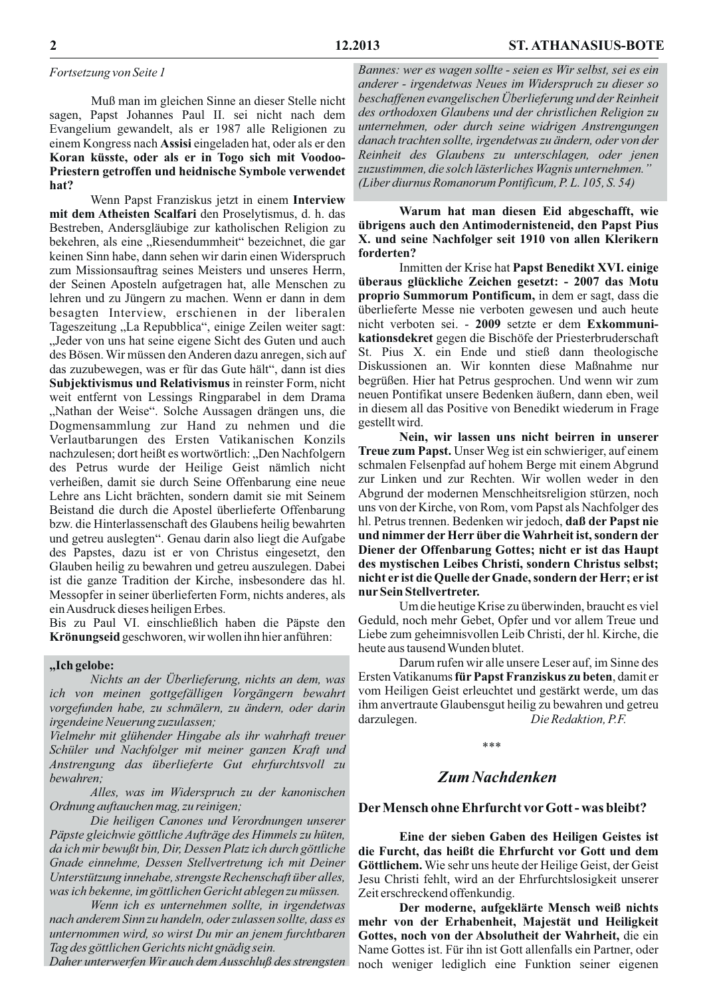#### Fortsetzung von Seite 1

Muß man im gleichen Sinne an dieser Stelle nicht sagen, Papst Johannes Paul II. sei nicht nach dem Evangelium gewandelt, als er 1987 alle Religionen zu einem Kongress nach Assisi eingeladen hat, oder als er den Koran küsste, oder als er in Togo sich mit Voodoo-Priestern getroffen und heidnische Symbole verwendet hat?

Wenn Papst Franziskus jetzt in einem Interview mit dem Atheisten Scalfari den Proselytismus, d. h. das Bestreben, Andersgläubige zur katholischen Religion zu bekehren, als eine "Riesendummheit" bezeichnet, die gar keinen Sinn habe, dann sehen wir darin einen Widerspruch zum Missionsauftrag seines Meisters und unseres Herrn, der Seinen Aposteln aufgetragen hat, alle Menschen zu lehren und zu Jüngern zu machen. Wenn er dann in dem besagten Interview, erschienen in der liberalen Tageszeitung "La Repubblica", einige Zeilen weiter sagt: "Jeder von uns hat seine eigene Sicht des Guten und auch des Bösen. Wir müssen den Anderen dazu anregen, sich auf das zuzubewegen, was er für das Gute hält", dann ist dies Subjektivismus und Relativismus in reinster Form, nicht weit entfernt von Lessings Ringparabel in dem Drama "Nathan der Weise". Solche Aussagen drängen uns, die Dogmensammlung zur Hand zu nehmen und die Verlautbarungen des Ersten Vatikanischen Konzils nachzulesen; dort heißt es wortwörtlich: "Den Nachfolgern des Petrus wurde der Heilige Geist nämlich nicht verheißen, damit sie durch Seine Offenbarung eine neue Lehre ans Licht brächten, sondern damit sie mit Seinem Beistand die durch die Apostel überlieferte Offenbarung bzw. die Hinterlassenschaft des Glaubens heilig bewahrten und getreu auslegten". Genau darin also liegt die Aufgabe des Papstes, dazu ist er von Christus eingesetzt, den Glauben heilig zu bewahren und getreu auszulegen. Dabei ist die ganze Tradition der Kirche, insbesondere das hl. Messopfer in seiner überlieferten Form, nichts anderes, als ein Ausdruck dieses heiligen Erbes.

Bis zu Paul VI. einschließlich haben die Päpste den Krönungseid geschworen, wir wollen ihn hier anführen:

### "Ich gelobe:

Nichts an der Überlieferung, nichts an dem, was ich von meinen gottgefälligen Vorgängern bewahrt vorgefunden habe, zu schmälern, zu ändern, oder darin irgendeine Neuerung zuzulassen;

Vielmehr mit glühender Hingabe als ihr wahrhaft treuer Schüler und Nachfolger mit meiner ganzen Kraft und Anstrengung das überlieferte Gut ehrfurchtsvoll zu bewahren;

Alles, was im Widerspruch zu der kanonischen Ordnung auftauchen mag, zu reinigen;

Die heiligen Canones und Verordnungen unserer Päpste gleichwie göttliche Aufträge des Himmels zu hüten, da ich mir bewußt bin, Dir, Dessen Platz ich durch göttliche Gnade einnehme, Dessen Stellvertretung ich mit Deiner Unterstützung innehabe, strengste Rechenschaft über alles, was ich bekenne, im göttlichen Gericht ablegen zu müssen.

Wenn ich es unternehmen sollte, in irgendetwas nach anderem Sinn zu handeln, oder zulassen sollte, dass es unternommen wird, so wirst Du mir an jenem furchtbaren Tag des göttlichen Gerichts nicht gnädig sein.

Daher unterwerfen Wir auch dem Ausschluß des strengsten

Bannes: wer es wagen sollte - seien es Wir selbst, sei es ein anderer - irgendetwas Neues im Widerspruch zu dieser so beschaffenen evangelischen Überlieferung und der Reinheit des orthodoxen Glaubens und der christlichen Religion zu unternehmen, oder durch seine widrigen Anstrengungen danach trachten sollte, irgendetwas zu ändern, oder von der Reinheit des Glaubens zu unterschlagen, oder jenen zuzustimmen, die solch lästerliches Wagnis unternehmen." (Liber diurnus Romanorum Pontificum, P. L. 105, S. 54)

Warum hat man diesen Eid abgeschafft, wie übrigens auch den Antimodernisteneid, den Papst Pius X. und seine Nachfolger seit 1910 von allen Klerikern forderten?

Inmitten der Krise hat Papst Benedikt XVI. einige überaus glückliche Zeichen gesetzt: - 2007 das Motu proprio Summorum Pontificum, in dem er sagt, dass die überlieferte Messe nie verboten gewesen und auch heute nicht verboten sei. - 2009 setzte er dem Exkommunikationsdekret gegen die Bischöfe der Priesterbruderschaft St. Pius X. ein Ende und stieß dann theologische Diskussionen an. Wir konnten diese Maßnahme nur begrüßen. Hier hat Petrus gesprochen. Und wenn wir zum neuen Pontifikat unsere Bedenken äußern, dann eben, weil in diesem all das Positive von Benedikt wiederum in Frage gestellt wird.

Nein, wir lassen uns nicht beirren in unserer Treue zum Papst. Unser Weg ist ein schwieriger, auf einem schmalen Felsenpfad auf hohem Berge mit einem Abgrund zur Linken und zur Rechten. Wir wollen weder in den Abgrund der modernen Menschheitsreligion stürzen, noch uns von der Kirche, von Rom, vom Papst als Nachfolger des hl. Petrus trennen. Bedenken wir jedoch, daß der Papst nie und nimmer der Herr über die Wahrheit ist, sondern der Diener der Offenbarung Gottes; nicht er ist das Haupt des mystischen Leibes Christi, sondern Christus selbst; nicht er ist die Quelle der Gnade, sondern der Herr; er ist nur Sein Stellvertreter.

Um die heutige Krise zu überwinden, braucht es viel Geduld, noch mehr Gebet, Opfer und vor allem Treue und Liebe zum geheimnisvollen Leib Christi, der hl. Kirche, die heute aus tausend Wunden blutet.

Darum rufen wir alle unsere Leser auf, im Sinne des Ersten Vatikanums für Papst Franziskus zu beten, damit er vom Heiligen Geist erleuchtet und gestärkt werde, um das ihm anvertraute Glaubensgut heilig zu bewahren und getreu Die Redaktion, P.F. darzulegen.

 $***$ 

## **Zum Nachdenken**

#### Der Mensch ohne Ehrfurcht vor Gott - was bleibt?

Eine der sieben Gaben des Heiligen Geistes ist die Furcht, das heißt die Ehrfurcht vor Gott und dem Göttlichem. Wie sehr uns heute der Heilige Geist, der Geist Jesu Christi fehlt, wird an der Ehrfurchtslosigkeit unserer Zeit erschreckend offenkundig.

Der moderne, aufgeklärte Mensch weiß nichts mehr von der Erhabenheit, Majestät und Heiligkeit Gottes, noch von der Absolutheit der Wahrheit, die ein Name Gottes ist. Für ihn ist Gott allenfalls ein Partner, oder noch weniger lediglich eine Funktion seiner eigenen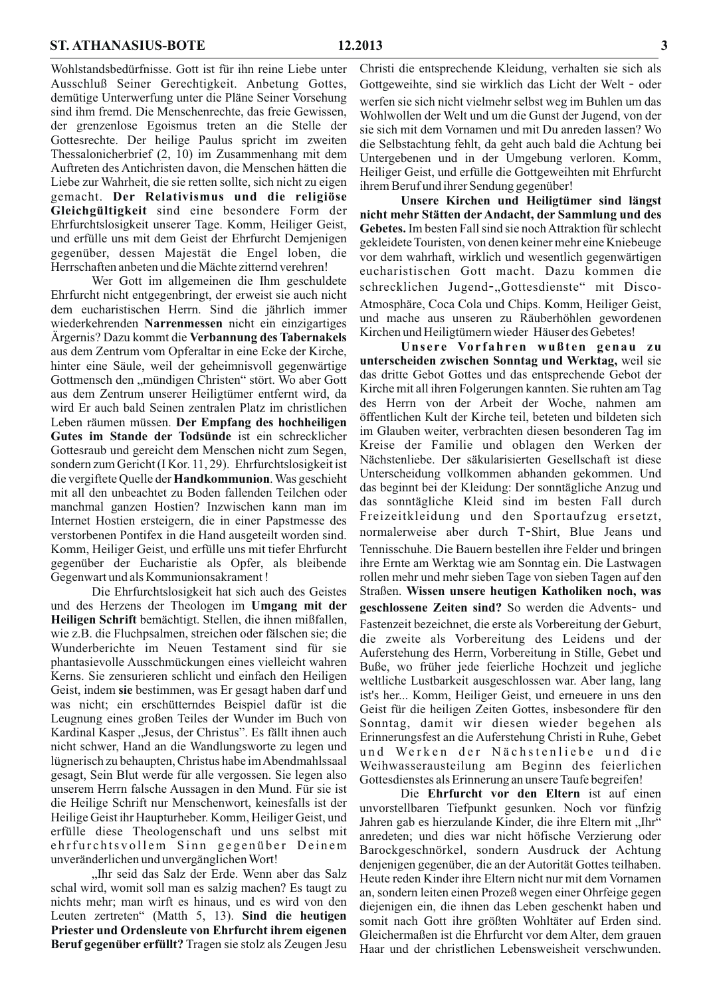Wohlstandsbedürfnisse. Gott ist für ihn reine Liebe unter Ausschluß Seiner Gerechtigkeit. Anbetung Gottes, demütige Unterwerfung unter die Pläne Seiner Vorsehung sind ihm fremd. Die Menschenrechte, das freie Gewissen, der grenzenlose Egoismus treten an die Stelle der Gottesrechte. Der heilige Paulus spricht im zweiten Thessalonicherbrief  $(2, 10)$  im Zusammenhang mit dem Auftreten des Antichristen davon, die Menschen hätten die Liebe zur Wahrheit, die sie retten sollte, sich nicht zu eigen gemacht. Der Relativismus und die religiöse Gleichgültigkeit sind eine besondere Form der Ehrfurchtslosigkeit unserer Tage. Komm, Heiliger Geist, und erfülle uns mit dem Geist der Ehrfurcht Demjenigen gegenüber, dessen Majestät die Engel loben, die Herrschaften anbeten und die Mächte zitternd verehren!

Wer Gott im allgemeinen die Ihm geschuldete Ehrfurcht nicht entgegenbringt, der erweist sie auch nicht dem eucharistischen Herrn. Sind die jährlich immer wiederkehrenden Narrenmessen nicht ein einzigartiges Argernis? Dazu kommt die Verbannung des Tabernakels aus dem Zentrum vom Opferaltar in eine Ecke der Kirche, hinter eine Säule, weil der geheimnisvoll gegenwärtige Gottmensch den "mündigen Christen" stört. Wo aber Gott aus dem Zentrum unserer Heiligtümer entfernt wird, da wird Er auch bald Seinen zentralen Platz im christlichen Leben räumen müssen. Der Empfang des hochheiligen Gutes im Stande der Todsünde ist ein schrecklicher Gottesraub und gereicht dem Menschen nicht zum Segen, sondern zum Gericht (I Kor. 11, 29). Ehrfurchtslosigkeit ist die vergiftete Quelle der Handkommunion. Was geschieht mit all den unbeachtet zu Boden fallenden Teilchen oder manchmal ganzen Hostien? Inzwischen kann man im Internet Hostien ersteigern, die in einer Papstmesse des verstorbenen Pontifex in die Hand ausgeteilt worden sind. Komm, Heiliger Geist, und erfülle uns mit tiefer Ehrfurcht gegenüber der Eucharistie als Opfer, als bleibende Gegenwart und als Kommunionsakrament!

Die Ehrfurchtslosigkeit hat sich auch des Geistes und des Herzens der Theologen im Umgang mit der Heiligen Schrift bemächtigt. Stellen, die ihnen mißfallen, wie z.B. die Fluchpsalmen, streichen oder fälschen sie; die Wunderberichte im Neuen Testament sind für sie phantasievolle Ausschmückungen eines vielleicht wahren Kerns. Sie zensurieren schlicht und einfach den Heiligen Geist, indem sie bestimmen, was Er gesagt haben darf und was nicht; ein erschütterndes Beispiel dafür ist die Leugnung eines großen Teiles der Wunder im Buch von Kardinal Kasper "Jesus, der Christus". Es fällt ihnen auch nicht schwer, Hand an die Wandlungsworte zu legen und lügnerisch zu behaupten, Christus habe im Abendmahlssaal gesagt, Sein Blut werde für alle vergossen. Sie legen also unserem Herrn falsche Aussagen in den Mund. Für sie ist die Heilige Schrift nur Menschenwort, keinesfalls ist der Heilige Geist ihr Haupturheber. Komm, Heiliger Geist, und erfülle diese Theologenschaft und uns selbst mit ehrfurchtsvollem Sinn gegenüber Deinem unveränderlichen und unvergänglichen Wort!

"Ihr seid das Salz der Erde. Wenn aber das Salz schal wird, womit soll man es salzig machen? Es taugt zu nichts mehr; man wirft es hinaus, und es wird von den Leuten zertreten" (Matth 5, 13). Sind die heutigen Priester und Ordensleute von Ehrfurcht ihrem eigenen Beruf gegenüber erfüllt? Tragen sie stolz als Zeugen Jesu

Christi die entsprechende Kleidung, verhalten sie sich als Gottgeweihte, sind sie wirklich das Licht der Welt - oder werfen sie sich nicht vielmehr selbst weg im Buhlen um das Wohlwollen der Welt und um die Gunst der Jugend, von der sie sich mit dem Vornamen und mit Du anreden lassen? Wo die Selbstachtung fehlt, da geht auch bald die Achtung bei Untergebenen und in der Umgebung verloren. Komm, Heiliger Geist, und erfülle die Gottgeweihten mit Ehrfurcht ihrem Beruf und ihrer Sendung gegenüber!

Unsere Kirchen und Heiligtümer sind längst nicht mehr Stätten der Andacht, der Sammlung und des Gebetes. Im besten Fall sind sie noch Attraktion für schlecht gekleidete Touristen, von denen keiner mehr eine Kniebeuge vor dem wahrhaft, wirklich und wesentlich gegenwärtigen eucharistischen Gott macht. Dazu kommen die schrecklichen Jugend-"Gottesdienste" mit Disco-Atmosphäre, Coca Cola und Chips. Komm, Heiliger Geist, und mache aus unseren zu Räuberhöhlen gewordenen Kirchen und Heiligtümern wieder Häuser des Gebetes!

Unsere Vorfahren wußten genau zu unterscheiden zwischen Sonntag und Werktag, weil sie das dritte Gebot Gottes und das entsprechende Gebot der Kirche mit all ihren Folgerungen kannten. Sie ruhten am Tag des Herrn von der Arbeit der Woche, nahmen am öffentlichen Kult der Kirche teil, beteten und bildeten sich im Glauben weiter, verbrachten diesen besonderen Tag im Kreise der Familie und oblagen den Werken der Nächstenliebe. Der säkularisierten Gesellschaft ist diese Unterscheidung vollkommen abhanden gekommen. Und das beginnt bei der Kleidung: Der sonntägliche Anzug und das sonntägliche Kleid sind im besten Fall durch Freizeitkleidung und den Sportaufzug ersetzt, normalerweise aber durch T-Shirt, Blue Jeans und Tennisschuhe. Die Bauern bestellen ihre Felder und bringen ihre Ernte am Werktag wie am Sonntag ein. Die Lastwagen rollen mehr und mehr sieben Tage von sieben Tagen auf den Straßen. Wissen unsere heutigen Katholiken noch, was geschlossene Zeiten sind? So werden die Advents- und Fastenzeit bezeichnet, die erste als Vorbereitung der Geburt, die zweite als Vorbereitung des Leidens und der Auferstehung des Herrn, Vorbereitung in Stille, Gebet und Buße, wo früher jede feierliche Hochzeit und jegliche weltliche Lustbarkeit ausgeschlossen war. Aber lang, lang ist's her... Komm, Heiliger Geist, und erneuere in uns den Geist für die heiligen Zeiten Gottes, insbesondere für den Sonntag, damit wir diesen wieder begehen als Erinnerungsfest an die Auferstehung Christi in Ruhe, Gebet und Werken der Nächstenliebe und die Weihwasserausteilung am Beginn des feierlichen Gottesdienstes als Erinnerung an unsere Taufe begreifen!

Die Ehrfurcht vor den Eltern ist auf einen unvorstellbaren Tiefpunkt gesunken. Noch vor fünfzig Jahren gab es hierzulande Kinder, die ihre Eltern mit "Ihr" anredeten; und dies war nicht höfische Verzierung oder Barockgeschnörkel, sondern Ausdruck der Achtung denjenigen gegenüber, die an der Autorität Gottes teilhaben. Heute reden Kinder ihre Eltern nicht nur mit dem Vornamen an, sondern leiten einen Prozeß wegen einer Ohrfeige gegen diejenigen ein, die ihnen das Leben geschenkt haben und somit nach Gott ihre größten Wohltäter auf Erden sind. Gleichermaßen ist die Ehrfurcht vor dem Alter, dem grauen Haar und der christlichen Lebensweisheit verschwunden.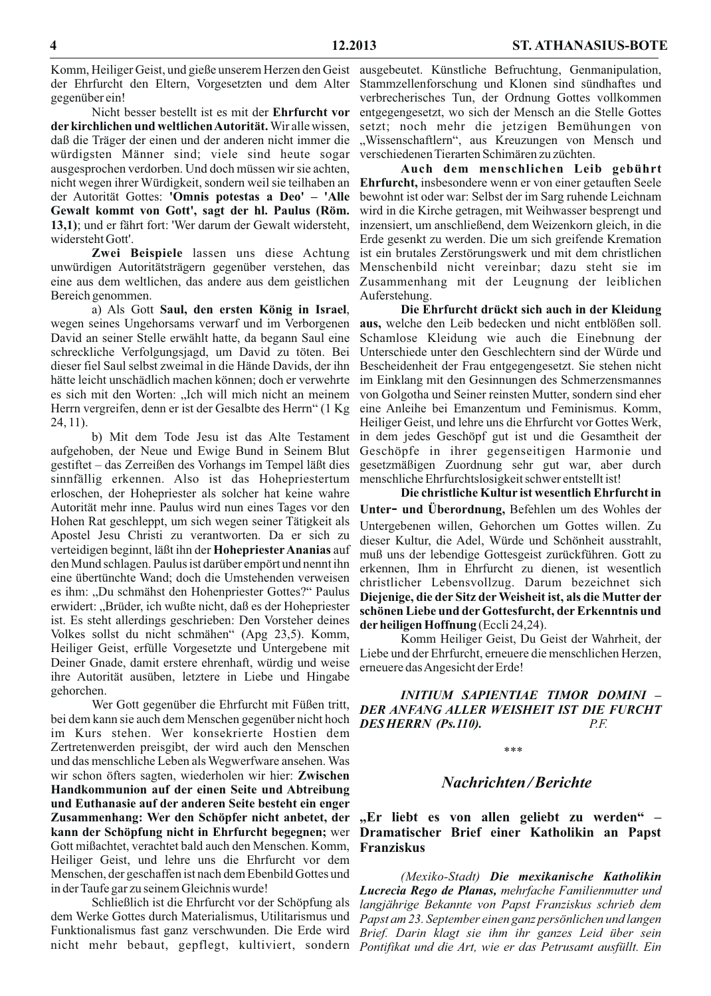gegenüber ein!

Nicht besser bestellt ist es mit der Ehrfurcht vor der kirchlichen und weltlichen Autorität. Wir alle wissen, daß die Träger der einen und der anderen nicht immer die würdigsten Männer sind; viele sind heute sogar ausgesprochen verdorben. Und doch müssen wir sie achten, nicht wegen ihrer Würdigkeit, sondern weil sie teilhaben an der Autorität Gottes: 'Omnis potestas a Deo' - 'Alle Gewalt kommt von Gott', sagt der hl. Paulus (Röm. 13,1); und er fährt fort: 'Wer darum der Gewalt widersteht, widersteht Gott'.

Zwei Beispiele lassen uns diese Achtung unwürdigen Autoritätsträgern gegenüber verstehen, das eine aus dem weltlichen, das andere aus dem geistlichen Bereich genommen.

a) Als Gott Saul, den ersten König in Israel, wegen seines Ungehorsams verwarf und im Verborgenen David an seiner Stelle erwählt hatte, da begann Saul eine schreckliche Verfolgungsjagd, um David zu töten. Bei dieser fiel Saul selbst zweimal in die Hände Davids, der ihn hätte leicht unschädlich machen können; doch er verwehrte es sich mit den Worten: "Ich will mich nicht an meinem Herrn vergreifen, denn er ist der Gesalbte des Herrn" (1 Kg  $24, 11$ ).

b) Mit dem Tode Jesu ist das Alte Testament aufgehoben, der Neue und Ewige Bund in Seinem Blut gestiftet – das Zerreißen des Vorhangs im Tempel läßt dies sinnfällig erkennen. Also ist das Hohepriestertum erloschen, der Hohepriester als solcher hat keine wahre Autorität mehr inne. Paulus wird nun eines Tages vor den Hohen Rat geschleppt, um sich wegen seiner Tätigkeit als Apostel Jesu Christi zu verantworten. Da er sich zu verteidigen beginnt, läßt ihn der Hohepriester Ananias auf den Mund schlagen. Paulus ist darüber empört und nennt ihn eine übertünchte Wand; doch die Umstehenden verweisen es ihm: "Du schmähst den Hohenpriester Gottes?" Paulus erwidert: "Brüder, ich wußte nicht, daß es der Hohepriester ist. Es steht allerdings geschrieben: Den Vorsteher deines Volkes sollst du nicht schmähen" (Apg 23,5). Komm, Heiliger Geist, erfülle Vorgesetzte und Untergebene mit Deiner Gnade, damit erstere ehrenhaft, würdig und weise ihre Autorität ausüben, letztere in Liebe und Hingabe gehorchen.

Wer Gott gegenüber die Ehrfurcht mit Füßen tritt, bei dem kann sie auch dem Menschen gegenüber nicht hoch im Kurs stehen. Wer konsekrierte Hostien dem Zertretenwerden preisgibt, der wird auch den Menschen und das menschliche Leben als Wegwerfware ansehen. Was wir schon öfters sagten, wiederholen wir hier: Zwischen Handkommunion auf der einen Seite und Abtreibung und Euthanasie auf der anderen Seite besteht ein enger Zusammenhang: Wer den Schöpfer nicht anbetet, der kann der Schöpfung nicht in Ehrfurcht begegnen; wer Gott mißachtet, verachtet bald auch den Menschen. Komm, Heiliger Geist, und lehre uns die Ehrfurcht vor dem Menschen, der geschaffen ist nach dem Ebenbild Gottes und in der Taufe gar zu seinem Gleichnis wurde!

Schließlich ist die Ehrfurcht vor der Schöpfung als dem Werke Gottes durch Materialismus, Utilitarismus und Funktionalismus fast ganz verschwunden. Die Erde wird nicht mehr bebaut, gepflegt, kultiviert, sondern Pontifikat und die Art, wie er das Petrusamt ausfüllt. Ein

Komm, Heiliger Geist, und gieße unserem Herzen den Geist ausgebeutet. Künstliche Befruchtung, Genmanipulation, der Ehrfurcht den Eltern, Vorgesetzten und dem Alter Stammzellenforschung und Klonen sind sündhaftes und verbrecherisches Tun, der Ordnung Gottes vollkommen entgegengesetzt, wo sich der Mensch an die Stelle Gottes setzt; noch mehr die jetzigen Bemühungen von "Wissenschaftlern", aus Kreuzungen von Mensch und verschiedenen Tierarten Schimären zu züchten.

> Auch dem menschlichen Leib gebührt Ehrfurcht, insbesondere wenn er von einer getauften Seele bewohnt ist oder war: Selbst der im Sarg ruhende Leichnam wird in die Kirche getragen, mit Weihwasser besprengt und inzensiert, um anschließend, dem Weizenkorn gleich, in die Erde gesenkt zu werden. Die um sich greifende Kremation ist ein brutales Zerstörungswerk und mit dem christlichen Menschenbild nicht vereinbar; dazu steht sie im Zusammenhang mit der Leugnung der leiblichen Auferstehung.

> Die Ehrfurcht drückt sich auch in der Kleidung aus, welche den Leib bedecken und nicht entblößen soll. Schamlose Kleidung wie auch die Einebnung der Unterschiede unter den Geschlechtern sind der Würde und Bescheidenheit der Frau entgegengesetzt. Sie stehen nicht im Einklang mit den Gesinnungen des Schmerzensmannes von Golgotha und Seiner reinsten Mutter, sondern sind eher eine Anleihe bei Emanzentum und Feminismus. Komm, Heiliger Geist, und lehre uns die Ehrfurcht vor Gottes Werk, in dem jedes Geschöpf gut ist und die Gesamtheit der Geschöpfe in ihrer gegenseitigen Harmonie und gesetzmäßigen Zuordnung sehr gut war, aber durch menschliche Ehrfurchtslosigkeit schwer entstellt ist!

> Die christliche Kultur ist wesentlich Ehrfurcht in Unter- und Überordnung, Befehlen um des Wohles der Untergebenen willen, Gehorchen um Gottes willen. Zu dieser Kultur, die Adel, Würde und Schönheit ausstrahlt, muß uns der lebendige Gottesgeist zurückführen. Gott zu erkennen, Ihm in Ehrfurcht zu dienen, ist wesentlich christlicher Lebensvollzug. Darum bezeichnet sich Diejenige, die der Sitz der Weisheit ist, als die Mutter der schönen Liebe und der Gottesfurcht, der Erkenntnis und der heiligen Hoffnung (Eccli 24,24).

> Komm Heiliger Geist, Du Geist der Wahrheit, der Liebe und der Ehrfurcht, erneuere die menschlichen Herzen, erneuere das Angesicht der Erde!

> **INITIUM SAPIENTIAE TIMOR DOMINI -**DER ANFANG ALLER WEISHEIT IST DIE FURCHT DESHERRN (Ps.110).  $P.E$

#### $* * *$

## **Nachrichten/Berichte**

"Er liebt es von allen geliebt zu werden" -Dramatischer Brief einer Katholikin an Papst **Franziskus** 

(Mexiko-Stadt) Die mexikanische Katholikin Lucrecia Rego de Planas, mehrfache Familienmutter und langjährige Bekannte von Papst Franziskus schrieb dem Papst am 23. September einen ganz persönlichen und langen Brief. Darin klagt sie ihm ihr ganzes Leid über sein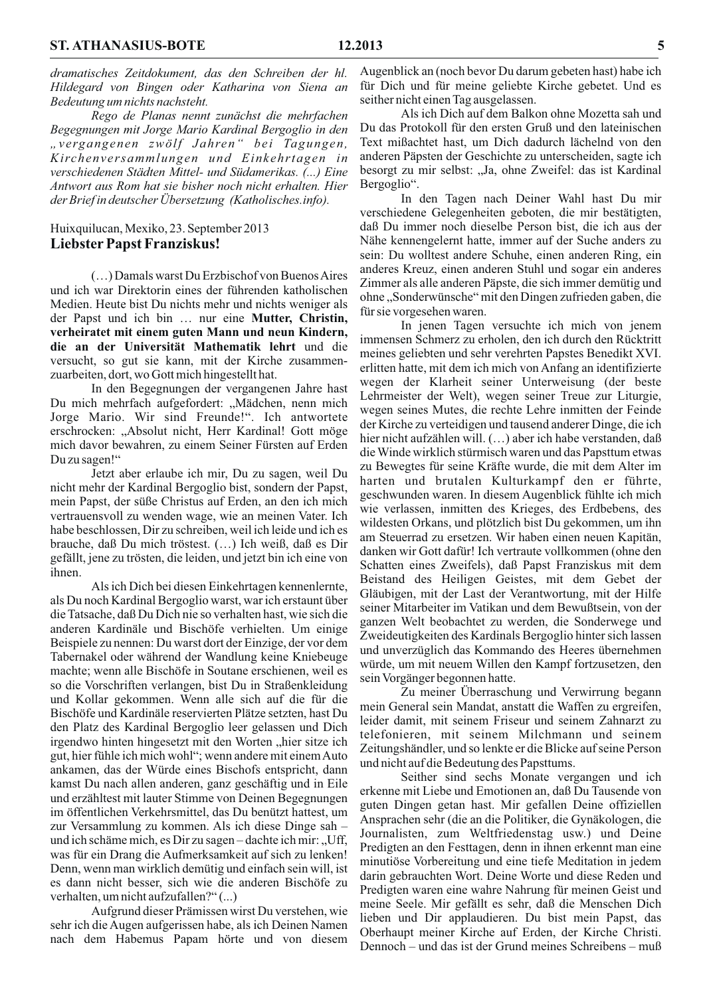dramatisches Zeitdokument, das den Schreiben der hl. Hildegard von Bingen oder Katharina von Siena an Bedeutung um nichts nachsteht.

Rego de Planas nennt zunächst die mehrfachen Begegnungen mit Jorge Mario Kardinal Bergoglio in den "vergangenen zwölf Jahren" bei Tagungen, Kirchenversammlungen und Einkehrtagen in verschiedenen Städten Mittel- und Südamerikas. (...) Eine Antwort aus Rom hat sie bisher noch nicht erhalten. Hier der Brief in deutscher Übersetzung (Katholisches.info).

#### Huixquilucan, Mexiko, 23. September 2013 **Liebster Papst Franziskus!**

(...) Damals warst Du Erzbischof von Buenos Aires und ich war Direktorin eines der führenden katholischen Medien. Heute bist Du nichts mehr und nichts weniger als der Papst und ich bin ... nur eine Mutter, Christin, verheiratet mit einem guten Mann und neun Kindern, die an der Universität Mathematik lehrt und die versucht, so gut sie kann, mit der Kirche zusammenzuarbeiten, dort, wo Gott mich hingestellt hat.

In den Begegnungen der vergangenen Jahre hast Du mich mehrfach aufgefordert: "Mädchen, nenn mich Jorge Mario. Wir sind Freunde!". Ich antwortete erschrocken: "Absolut nicht, Herr Kardinal! Gott möge mich davor bewahren, zu einem Seiner Fürsten auf Erden Du zu sagen!"

Jetzt aber erlaube ich mir, Du zu sagen, weil Du nicht mehr der Kardinal Bergoglio bist, sondern der Papst, mein Papst, der süße Christus auf Erden, an den ich mich vertrauensvoll zu wenden wage, wie an meinen Vater. Ich habe beschlossen, Dir zu schreiben, weil ich leide und ich es brauche, daß Du mich tröstest. (...) Ich weiß, daß es Dir gefällt, jene zu trösten, die leiden, und jetzt bin ich eine von ihnen.

Als ich Dich bei diesen Einkehrtagen kennenlernte, als Du noch Kardinal Bergoglio warst, war ich erstaunt über die Tatsache, daß Du Dich nie so verhalten hast, wie sich die anderen Kardinäle und Bischöfe verhielten. Um einige Beispiele zu nennen: Du warst dort der Einzige, der vor dem Tabernakel oder während der Wandlung keine Kniebeuge machte; wenn alle Bischöfe in Soutane erschienen, weil es so die Vorschriften verlangen, bist Du in Straßenkleidung und Kollar gekommen. Wenn alle sich auf die für die Bischöfe und Kardinäle reservierten Plätze setzten, hast Du den Platz des Kardinal Bergoglio leer gelassen und Dich irgendwo hinten hingesetzt mit den Worten "hier sitze ich gut, hier fühle ich mich wohl"; wenn andere mit einem Auto ankamen, das der Würde eines Bischofs entspricht, dann kamst Du nach allen anderen, ganz geschäftig und in Eile und erzähltest mit lauter Stimme von Deinen Begegnungen im öffentlichen Verkehrsmittel, das Du benützt hattest, um zur Versammlung zu kommen. Als ich diese Dinge sah und ich schäme mich, es Dir zu sagen-dachte ich mir: "Uff, was für ein Drang die Aufmerksamkeit auf sich zu lenken! Denn, wenn man wirklich demütig und einfach sein will, ist es dann nicht besser, sich wie die anderen Bischöfe zu verhalten, um nicht aufzufallen?"(...)

Aufgrund dieser Prämissen wirst Du verstehen, wie sehr ich die Augen aufgerissen habe, als ich Deinen Namen nach dem Habemus Papam hörte und von diesem

Augenblick an (noch bevor Du darum gebeten hast) habe ich für Dich und für meine geliebte Kirche gebetet. Und es seither nicht einen Tag ausgelassen.

Als ich Dich auf dem Balkon ohne Mozetta sah und Du das Protokoll für den ersten Gruß und den lateinischen Text mißachtet hast, um Dich dadurch lächelnd von den anderen Päpsten der Geschichte zu unterscheiden, sagte ich besorgt zu mir selbst: "Ja, ohne Zweifel: das ist Kardinal Bergoglio".

In den Tagen nach Deiner Wahl hast Du mir verschiedene Gelegenheiten geboten, die mir bestätigten, daß Du immer noch dieselbe Person bist, die ich aus der Nähe kennengelernt hatte, immer auf der Suche anders zu sein: Du wolltest andere Schuhe, einen anderen Ring, ein anderes Kreuz, einen anderen Stuhl und sogar ein anderes Zimmer als alle anderen Päpste, die sich immer demütig und ohne, Sonderwünsche" mit den Dingen zufrieden gaben, die für sie vorgesehen waren.

In jenen Tagen versuchte ich mich von jenem immensen Schmerz zu erholen, den ich durch den Rücktritt meines geliebten und sehr verehrten Papstes Benedikt XVI. erlitten hatte, mit dem ich mich von Anfang an identifizierte wegen der Klarheit seiner Unterweisung (der beste Lehrmeister der Welt), wegen seiner Treue zur Liturgie, wegen seines Mutes, die rechte Lehre inmitten der Feinde der Kirche zu verteidigen und tausend anderer Dinge, die ich hier nicht aufzählen will. (...) aber ich habe verstanden, daß die Winde wirklich stürmisch waren und das Papsttum etwas zu Bewegtes für seine Kräfte wurde, die mit dem Alter im harten und brutalen Kulturkampf den er führte, geschwunden waren. In diesem Augenblick fühlte ich mich wie verlassen, inmitten des Krieges, des Erdbebens, des wildesten Orkans, und plötzlich bist Du gekommen, um ihn am Steuerrad zu ersetzen. Wir haben einen neuen Kapitän, danken wir Gott dafür! Ich vertraute vollkommen (ohne den Schatten eines Zweifels), daß Papst Franziskus mit dem Beistand des Heiligen Geistes, mit dem Gebet der Gläubigen, mit der Last der Verantwortung, mit der Hilfe seiner Mitarbeiter im Vatikan und dem Bewußtsein, von der ganzen Welt beobachtet zu werden, die Sonderwege und Zweideutigkeiten des Kardinals Bergoglio hinter sich lassen und unverzüglich das Kommando des Heeres übernehmen würde, um mit neuem Willen den Kampf fortzusetzen, den sein Vorgänger begonnen hatte.

Zu meiner Überraschung und Verwirrung begann mein General sein Mandat, anstatt die Waffen zu ergreifen, leider damit, mit seinem Friseur und seinem Zahnarzt zu telefonieren, mit seinem Milchmann und seinem Zeitungshändler, und so lenkte er die Blicke auf seine Person und nicht auf die Bedeutung des Papsttums.

Seither sind sechs Monate vergangen und ich erkenne mit Liebe und Emotionen an, daß Du Tausende von guten Dingen getan hast. Mir gefallen Deine offiziellen Ansprachen sehr (die an die Politiker, die Gynäkologen, die Journalisten, zum Weltfriedenstag usw.) und Deine Predigten an den Festtagen, denn in ihnen erkennt man eine minutiöse Vorbereitung und eine tiefe Meditation in jedem darin gebrauchten Wort. Deine Worte und diese Reden und Predigten waren eine wahre Nahrung für meinen Geist und meine Seele. Mir gefällt es sehr, daß die Menschen Dich lieben und Dir applaudieren. Du bist mein Papst, das Oberhaupt meiner Kirche auf Erden, der Kirche Christi. Dennoch – und das ist der Grund meines Schreibens – muß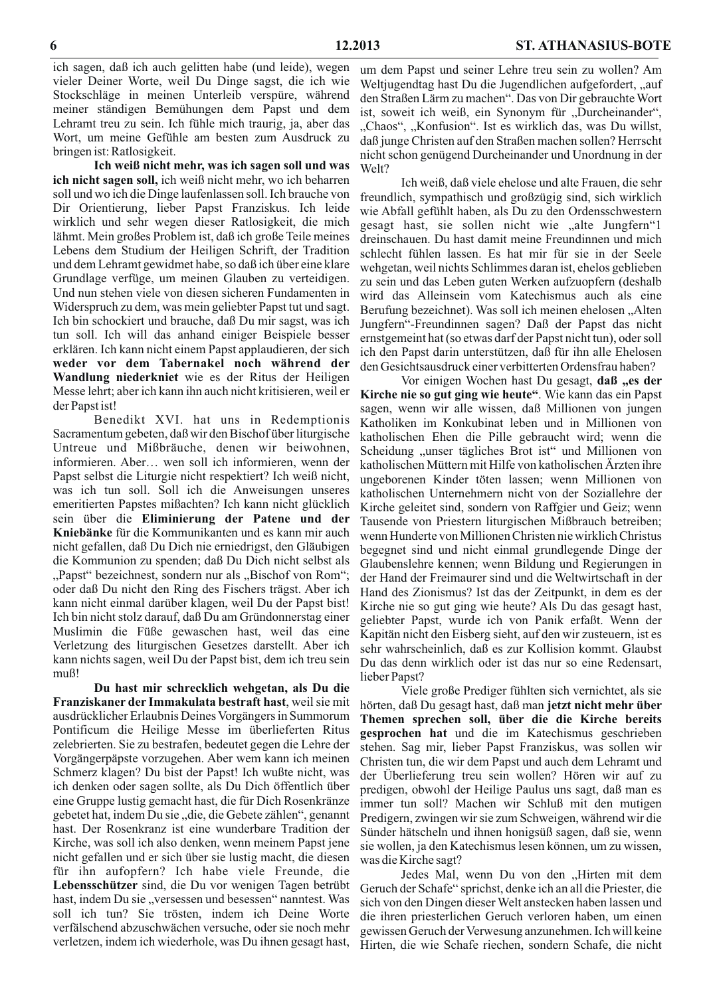ich sagen, daß ich auch gelitten habe (und leide), wegen vieler Deiner Worte, weil Du Dinge sagst, die ich wie Stockschläge in meinen Unterleib verspüre, während meiner ständigen Bemühungen dem Papst und dem Lehramt treu zu sein. Ich fühle mich traurig, ja, aber das Wort, um meine Gefühle am besten zum Ausdruck zu bringen ist: Ratlosigkeit.

Ich weiß nicht mehr, was ich sagen soll und was ich nicht sagen soll, ich weiß nicht mehr, wo ich beharren soll und wo ich die Dinge laufenlassen soll. Ich brauche von Dir Orientierung, lieber Papst Franziskus. Ich leide wirklich und sehr wegen dieser Ratlosigkeit, die mich lähmt. Mein großes Problem ist, daß ich große Teile meines Lebens dem Studium der Heiligen Schrift, der Tradition und dem Lehramt gewidmet habe, so daß ich über eine klare Grundlage verfüge, um meinen Glauben zu verteidigen. Und nun stehen viele von diesen sicheren Fundamenten in Widerspruch zu dem, was mein geliebter Papst tut und sagt. Ich bin schockiert und brauche, daß Du mir sagst, was ich tun soll. Ich will das anhand einiger Beispiele besser erklären. Ich kann nicht einem Papst applaudieren, der sich weder vor dem Tabernakel noch während der Wandlung niederkniet wie es der Ritus der Heiligen Messe lehrt; aber ich kann ihn auch nicht kritisieren, weil er der Papst ist!

Benedikt XVI. hat uns in Redemptionis Sacramentum gebeten, daß wir den Bischof über liturgische Untreue und Mißbräuche, denen wir beiwohnen, informieren. Aber... wen soll ich informieren, wenn der Papst selbst die Liturgie nicht respektiert? Ich weiß nicht, was ich tun soll. Soll ich die Anweisungen unseres emeritierten Papstes mißachten? Ich kann nicht glücklich sein über die Eliminierung der Patene und der Kniebänke für die Kommunikanten und es kann mir auch nicht gefallen, daß Du Dich nie erniedrigst, den Gläubigen die Kommunion zu spenden; daß Du Dich nicht selbst als "Papst" bezeichnest, sondern nur als "Bischof von Rom"; oder daß Du nicht den Ring des Fischers trägst. Aber ich kann nicht einmal darüber klagen, weil Du der Papst bist! Ich bin nicht stolz darauf, daß Du am Gründonnerstag einer Muslimin die Füße gewaschen hast, weil das eine Verletzung des liturgischen Gesetzes darstellt. Aber ich kann nichts sagen, weil Du der Papst bist, dem ich treu sein muß!

Du hast mir schrecklich wehgetan, als Du die Franziskaner der Immakulata bestraft hast, weil sie mit ausdrücklicher Erlaubnis Deines Vorgängers in Summorum Pontificum die Heilige Messe im überlieferten Ritus zelebrierten. Sie zu bestrafen, bedeutet gegen die Lehre der Vorgängerpäpste vorzugehen. Aber wem kann ich meinen Schmerz klagen? Du bist der Papst! Ich wußte nicht, was ich denken oder sagen sollte, als Du Dich öffentlich über eine Gruppe lustig gemacht hast, die für Dich Rosenkränze gebetet hat, indem Du sie "die, die Gebete zählen", genannt hast. Der Rosenkranz ist eine wunderbare Tradition der Kirche, was soll ich also denken, wenn meinem Papst jene nicht gefallen und er sich über sie lustig macht, die diesen für ihn aufopfern? Ich habe viele Freunde, die Lebensschützer sind, die Du vor wenigen Tagen betrübt hast, indem Du sie "versessen und besessen" nanntest. Was soll ich tun? Sie trösten, indem ich Deine Worte verfälschend abzuschwächen versuche, oder sie noch mehr verletzen, indem ich wiederhole, was Du ihnen gesagt hast,

um dem Papst und seiner Lehre treu sein zu wollen? Am Weltjugendtag hast Du die Jugendlichen aufgefordert, "auf den Straßen Lärm zu machen". Das von Dir gebrauchte Wort ist, soweit ich weiß, ein Synonym für "Durcheinander", "Chaos", "Konfusion". Ist es wirklich das, was Du willst, daß junge Christen auf den Straßen machen sollen? Herrscht nicht schon genügend Durcheinander und Unordnung in der Welt?

Ich weiß, daß viele ehelose und alte Frauen, die sehr freundlich, sympathisch und großzügig sind, sich wirklich wie Abfall gefühlt haben, als Du zu den Ordensschwestern gesagt hast, sie sollen nicht wie "alte Jungfern" dreinschauen. Du hast damit meine Freundinnen und mich schlecht fühlen lassen. Es hat mir für sie in der Seele wehgetan, weil nichts Schlimmes daran ist, ehelos geblieben zu sein und das Leben guten Werken aufzuopfern (deshalb wird das Alleinsein vom Katechismus auch als eine Berufung bezeichnet). Was soll ich meinen ehelosen "Alten Jungfern"-Freundinnen sagen? Daß der Papst das nicht ernstgemeint hat (so etwas darf der Papst nicht tun), oder soll ich den Papst darin unterstützen, daß für ihn alle Ehelosen den Gesichtsausdruck einer verbitterten Ordensfrau haben?

Vor einigen Wochen hast Du gesagt, daß "es der Kirche nie so gut ging wie heute". Wie kann das ein Papst sagen, wenn wir alle wissen, daß Millionen von jungen Katholiken im Konkubinat leben und in Millionen von katholischen Ehen die Pille gebraucht wird; wenn die Scheidung "unser tägliches Brot ist" und Millionen von katholischen Müttern mit Hilfe von katholischen Ärzten ihre ungeborenen Kinder töten lassen; wenn Millionen von katholischen Unternehmern nicht von der Soziallehre der Kirche geleitet sind, sondern von Raffgier und Geiz; wenn Tausende von Priestern liturgischen Mißbrauch betreiben; wenn Hunderte von Millionen Christen nie wirklich Christus begegnet sind und nicht einmal grundlegende Dinge der Glaubenslehre kennen; wenn Bildung und Regierungen in der Hand der Freimaurer sind und die Weltwirtschaft in der Hand des Zionismus? Ist das der Zeitpunkt, in dem es der Kirche nie so gut ging wie heute? Als Du das gesagt hast, geliebter Papst, wurde ich von Panik erfaßt. Wenn der Kapitän nicht den Eisberg sieht, auf den wir zusteuern, ist es sehr wahrscheinlich, daß es zur Kollision kommt. Glaubst Du das denn wirklich oder ist das nur so eine Redensart, lieber Papst?

Viele große Prediger fühlten sich vernichtet, als sie hörten, daß Du gesagt hast, daß man jetzt nicht mehr über Themen sprechen soll, über die die Kirche bereits gesprochen hat und die im Katechismus geschrieben stehen. Sag mir, lieber Papst Franziskus, was sollen wir Christen tun, die wir dem Papst und auch dem Lehramt und der Überlieferung treu sein wollen? Hören wir auf zu predigen, obwohl der Heilige Paulus uns sagt, daß man es immer tun soll? Machen wir Schluß mit den mutigen Predigern, zwingen wir sie zum Schweigen, während wir die Sünder hätscheln und ihnen honigsüß sagen, daß sie, wenn sie wollen, ja den Katechismus lesen können, um zu wissen, was die Kirche sagt?

Jedes Mal, wenn Du von den "Hirten mit dem Geruch der Schafe" sprichst, denke ich an all die Priester, die sich von den Dingen dieser Welt anstecken haben lassen und die ihren priesterlichen Geruch verloren haben, um einen gewissen Geruch der Verwesung anzunehmen. Ich will keine Hirten, die wie Schafe riechen, sondern Schafe, die nicht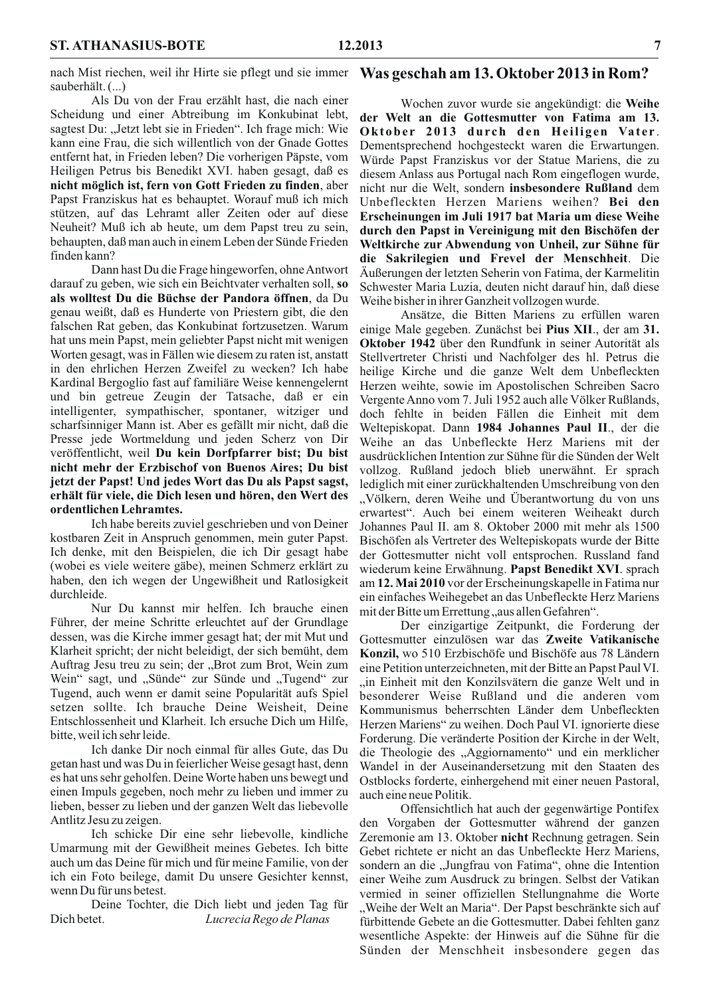nach Mist riechen, weil ihr Hirte sie pflegt und sie immer sauberhält. (...)

Als Du von der Frau erzählt hast, die nach einer Scheidung und einer Abtreibung im Konkubinat lebt, sagtest Du: "Jetzt lebt sie in Frieden". Ich frage mich: Wie kann eine Frau, die sich willentlich von der Gnade Gottes entfernt hat, in Frieden leben? Die vorherigen Päpste, vom Heiligen Petrus bis Benedikt XVI. haben gesagt, daß es nicht möglich ist, fern von Gott Frieden zu finden, aber Papst Franziskus hat es behauptet. Worauf muß ich mich stützen, auf das Lehramt aller Zeiten oder auf diese Neuheit? Muß ich ab heute, um dem Papst treu zu sein, behaupten, daß man auch in einem Leben der Sünde Frieden finden kann?

Dann hast Du die Frage hingeworfen, ohne Antwort darauf zu geben, wie sich ein Beichtvater verhalten soll, so als wolltest Du die Büchse der Pandora öffnen, da Du genau weißt, daß es Hunderte von Priestern gibt, die den falschen Rat geben, das Konkubinat fortzusetzen. Warum hat uns mein Papst, mein geliebter Papst nicht mit wenigen Worten gesagt, was in Fällen wie diesem zu raten ist, anstatt in den ehrlichen Herzen Zweifel zu wecken? Ich habe Kardinal Bergoglio fast auf familiäre Weise kennengelernt und bin getreue Zeugin der Tatsache, daß er ein intelligenter, sympathischer, spontaner, witziger und scharfsinniger Mann ist. Aber es gefällt mir nicht, daß die Presse jede Wortmeldung und jeden Scherz von Dir veröffentlicht, weil Du kein Dorfpfarrer bist; Du bist nicht mehr der Erzbischof von Buenos Aires; Du bist jetzt der Papst! Und jedes Wort das Du als Papst sagst, erhält für viele, die Dich lesen und hören, den Wert des ordentlichen Lehramtes.

Ich habe bereits zuviel geschrieben und von Deiner kostbaren Zeit in Anspruch genommen, mein guter Papst. Ich denke, mit den Beispielen, die ich Dir gesagt habe (wobei es viele weitere gäbe), meinen Schmerz erklärt zu haben, den ich wegen der Ungewißheit und Ratlosigkeit durchleide.

Nur Du kannst mir helfen. Ich brauche einen Führer, der meine Schritte erleuchtet auf der Grundlage dessen, was die Kirche immer gesagt hat; der mit Mut und Klarheit spricht; der nicht beleidigt, der sich bemüht, dem Auftrag Jesu treu zu sein; der "Brot zum Brot, Wein zum Wein" sagt, und "Sünde" zur Sünde und "Tugend" zur Tugend, auch wenn er damit seine Popularität aufs Spiel setzen sollte. Ich brauche Deine Weisheit, Deine Entschlossenheit und Klarheit. Ich ersuche Dich um Hilfe. bitte, weil ich sehr leide.

Ich danke Dir noch einmal für alles Gute, das Du getan hast und was Du in feierlicher Weise gesagt hast, denn es hat uns sehr geholfen. Deine Worte haben uns bewegt und einen Impuls gegeben, noch mehr zu lieben und immer zu lieben, besser zu lieben und der ganzen Welt das liebevolle Antlitz Jesu zu zeigen.

Ich schicke Dir eine sehr liebevolle, kindliche Umarmung mit der Gewißheit meines Gebetes. Ich bitte auch um das Deine für mich und für meine Familie, von der ich ein Foto beilege, damit Du unsere Gesichter kennst, wenn Du für uns betest.

Deine Tochter, die Dich liebt und jeden Tag für Dich betet. Lucrecia Rego de Planas

#### Was geschah am 13. Oktober 2013 in Rom?

Wochen zuvor wurde sie angekündigt: die Weihe der Welt an die Gottesmutter von Fatima am 13. Oktober 2013 durch den Heiligen Vater. Dementsprechend hochgesteckt waren die Erwartungen. Würde Papst Franziskus vor der Statue Mariens, die zu diesem Anlass aus Portugal nach Rom eingeflogen wurde, nicht nur die Welt, sondern insbesondere Rußland dem Unbefleckten Herzen Mariens weihen? Bei den Erscheinungen im Juli 1917 bat Maria um diese Weihe durch den Papst in Vereinigung mit den Bischöfen der Weltkirche zur Abwendung von Unheil, zur Sühne für die Sakrilegien und Frevel der Menschheit. Die Äußerungen der letzten Seherin von Fatima, der Karmelitin Schwester Maria Luzia, deuten nicht darauf hin, daß diese Weihe bisher in ihrer Ganzheit vollzogen wurde.

Ansätze, die Bitten Mariens zu erfüllen waren einige Male gegeben. Zunächst bei Pius XII., der am 31. Oktober 1942 über den Rundfunk in seiner Autorität als Stellvertreter Christi und Nachfolger des hl. Petrus die heilige Kirche und die ganze Welt dem Unbefleckten Herzen weihte, sowie im Apostolischen Schreiben Sacro Vergente Anno vom 7. Juli 1952 auch alle Völker Rußlands, doch fehlte in beiden Fällen die Einheit mit dem Weltepiskopat. Dann 1984 Johannes Paul II., der die Weihe an das Unbefleckte Herz Mariens mit der ausdrücklichen Intention zur Sühne für die Sünden der Welt vollzog. Rußland jedoch blieb unerwähnt. Er sprach lediglich mit einer zurückhaltenden Umschreibung von den "Völkern, deren Weihe und Überantwortung du von uns erwartest". Auch bei einem weiteren Weiheakt durch Johannes Paul II. am 8. Oktober 2000 mit mehr als 1500 Bischöfen als Vertreter des Weltepiskopats wurde der Bitte der Gottesmutter nicht voll entsprochen. Russland fand wiederum keine Erwähnung. Papst Benedikt XVI. sprach am 12. Mai 2010 vor der Erscheinungskapelle in Fatima nur ein einfaches Weihegebet an das Unbefleckte Herz Mariens mit der Bitte um Errettung "aus allen Gefahren".

Der einzigartige Zeitpunkt, die Forderung der Gottesmutter einzulösen war das Zweite Vatikanische Konzil, wo 510 Erzbischöfe und Bischöfe aus 78 Ländern eine Petition unterzeichneten, mit der Bitte an Papst Paul VI. "in Einheit mit den Konzilsvätern die ganze Welt und in besonderer Weise Rußland und die anderen vom Kommunismus beherrschten Länder dem Unbefleckten Herzen Mariens" zu weihen. Doch Paul VI. ignorierte diese Forderung. Die veränderte Position der Kirche in der Welt, die Theologie des "Aggiornamento" und ein merklicher Wandel in der Auseinandersetzung mit den Staaten des Ostblocks forderte, einhergehend mit einer neuen Pastoral, auch eine neue Politik.

Offensichtlich hat auch der gegenwärtige Pontifex den Vorgaben der Gottesmutter während der ganzen Zeremonie am 13. Oktober nicht Rechnung getragen. Sein Gebet richtete er nicht an das Unbefleckte Herz Mariens, sondern an die "Jungfrau von Fatima", ohne die Intention einer Weihe zum Ausdruck zu bringen. Selbst der Vatikan vermied in seiner offiziellen Stellungnahme die Worte "Weihe der Welt an Maria". Der Papst beschränkte sich auf fürbittende Gebete an die Gottesmutter. Dabei fehlten ganz wesentliche Aspekte: der Hinweis auf die Sühne für die Sünden der Menschheit insbesondere gegen das